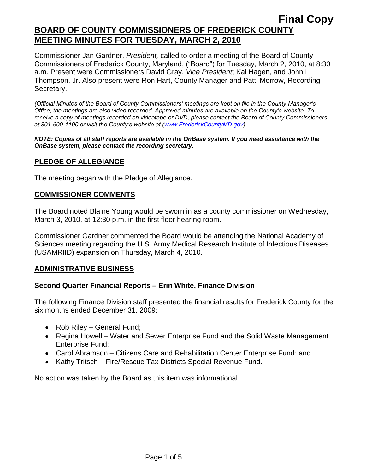Commissioner Jan Gardner, *President,* called to order a meeting of the Board of County Commissioners of Frederick County, Maryland, ("Board") for Tuesday, March 2, 2010, at 8:30 a.m. Present were Commissioners David Gray, *Vice President*; Kai Hagen, and John L. Thompson, Jr. Also present were Ron Hart, County Manager and Patti Morrow, Recording Secretary.

*(Official Minutes of the Board of County Commissioners' meetings are kept on file in the County Manager's Office; the meetings are also video recorded. Approved minutes are available on the County's website. To receive a copy of meetings recorded on videotape or DVD, please contact the Board of County Commissioners at 301-600-1100 or visit the County's website at [\(www.FrederickCountyMD.gov\)](http://www.frederickcountymd.gov/)*

#### *NOTE: Copies of all staff reports are available in the OnBase system. If you need assistance with the OnBase system, please contact the recording secretary.*

# **PLEDGE OF ALLEGIANCE**

The meeting began with the Pledge of Allegiance.

# **COMMISSIONER COMMENTS**

The Board noted Blaine Young would be sworn in as a county commissioner on Wednesday, March 3, 2010, at 12:30 p.m. in the first floor hearing room.

Commissioner Gardner commented the Board would be attending the National Academy of Sciences meeting regarding the U.S. Army Medical Research Institute of Infectious Diseases (USAMRIID) expansion on Thursday, March 4, 2010.

# **ADMINISTRATIVE BUSINESS**

# **Second Quarter Financial Reports – Erin White, Finance Division**

The following Finance Division staff presented the financial results for Frederick County for the six months ended December 31, 2009:

- Rob Riley General Fund;
- Regina Howell Water and Sewer Enterprise Fund and the Solid Waste Management Enterprise Fund;
- Carol Abramson Citizens Care and Rehabilitation Center Enterprise Fund; and
- Kathy Tritsch Fire/Rescue Tax Districts Special Revenue Fund.

No action was taken by the Board as this item was informational.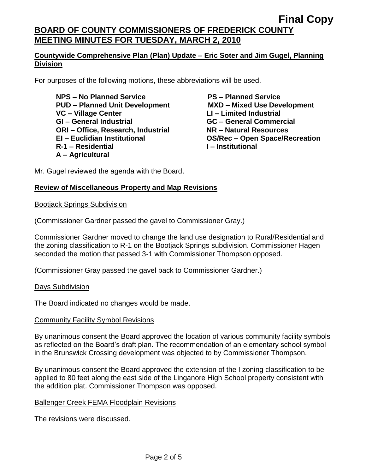**Final Copy BOARD OF COUNTY COMMISSIONERS OF FREDERICK COUNTY MEETING MINUTES FOR TUESDAY, MARCH 2, 2010**

# **Countywide Comprehensive Plan (Plan) Update – Eric Soter and Jim Gugel, Planning Division**

For purposes of the following motions, these abbreviations will be used.

**NPS – No Planned Service PS – Planned Service PUD – Planned Unit Development MXD – Mixed Use Development VC – Village Center LI – Limited Industrial GI – General Industrial GC – General Commercial ORI – Office, Research, Industrial NR – Natural Resources EI – Euclidian Institutional OS/Rec – Open Space/Recreation R-1 – Residential I – Institutional A – Agricultural**

Mr. Gugel reviewed the agenda with the Board.

# **Review of Miscellaneous Property and Map Revisions**

Bootjack Springs Subdivision

(Commissioner Gardner passed the gavel to Commissioner Gray.)

Commissioner Gardner moved to change the land use designation to Rural/Residential and the zoning classification to R-1 on the Bootjack Springs subdivision. Commissioner Hagen seconded the motion that passed 3-1 with Commissioner Thompson opposed.

(Commissioner Gray passed the gavel back to Commissioner Gardner.)

Days Subdivision

The Board indicated no changes would be made.

### Community Facility Symbol Revisions

By unanimous consent the Board approved the location of various community facility symbols as reflected on the Board's draft plan. The recommendation of an elementary school symbol in the Brunswick Crossing development was objected to by Commissioner Thompson.

By unanimous consent the Board approved the extension of the I zoning classification to be applied to 80 feet along the east side of the Linganore High School property consistent with the addition plat. Commissioner Thompson was opposed.

### Ballenger Creek FEMA Floodplain Revisions

The revisions were discussed.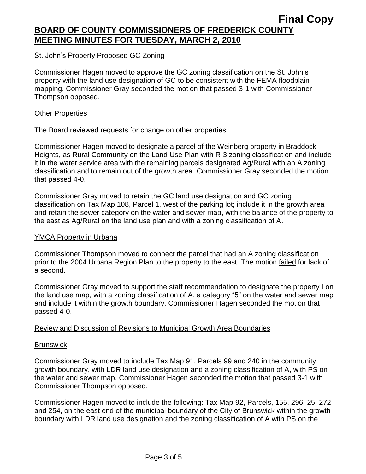# St. John's Property Proposed GC Zoning

Commissioner Hagen moved to approve the GC zoning classification on the St. John's property with the land use designation of GC to be consistent with the FEMA floodplain mapping. Commissioner Gray seconded the motion that passed 3-1 with Commissioner Thompson opposed.

### **Other Properties**

The Board reviewed requests for change on other properties.

Commissioner Hagen moved to designate a parcel of the Weinberg property in Braddock Heights, as Rural Community on the Land Use Plan with R-3 zoning classification and include it in the water service area with the remaining parcels designated Ag/Rural with an A zoning classification and to remain out of the growth area. Commissioner Gray seconded the motion that passed 4-0.

Commissioner Gray moved to retain the GC land use designation and GC zoning classification on Tax Map 108, Parcel 1, west of the parking lot; include it in the growth area and retain the sewer category on the water and sewer map, with the balance of the property to the east as Ag/Rural on the land use plan and with a zoning classification of A.

### YMCA Property in Urbana

Commissioner Thompson moved to connect the parcel that had an A zoning classification prior to the 2004 Urbana Region Plan to the property to the east. The motion failed for lack of a second.

Commissioner Gray moved to support the staff recommendation to designate the property I on the land use map, with a zoning classification of A, a category "5" on the water and sewer map and include it within the growth boundary. Commissioner Hagen seconded the motion that passed 4-0.

### Review and Discussion of Revisions to Municipal Growth Area Boundaries

### **Brunswick**

Commissioner Gray moved to include Tax Map 91, Parcels 99 and 240 in the community growth boundary, with LDR land use designation and a zoning classification of A, with PS on the water and sewer map. Commissioner Hagen seconded the motion that passed 3-1 with Commissioner Thompson opposed.

Commissioner Hagen moved to include the following: Tax Map 92, Parcels, 155, 296, 25, 272 and 254, on the east end of the municipal boundary of the City of Brunswick within the growth boundary with LDR land use designation and the zoning classification of A with PS on the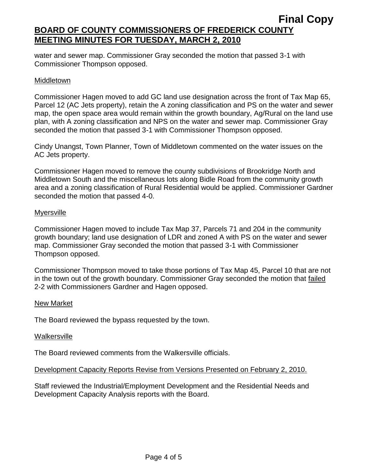# **Final Copy BOARD OF COUNTY COMMISSIONERS OF FREDERICK COUNTY MEETING MINUTES FOR TUESDAY, MARCH 2, 2010**

water and sewer map. Commissioner Gray seconded the motion that passed 3-1 with Commissioner Thompson opposed.

## Middletown

Commissioner Hagen moved to add GC land use designation across the front of Tax Map 65, Parcel 12 (AC Jets property), retain the A zoning classification and PS on the water and sewer map, the open space area would remain within the growth boundary, Ag/Rural on the land use plan, with A zoning classification and NPS on the water and sewer map. Commissioner Gray seconded the motion that passed 3-1 with Commissioner Thompson opposed.

Cindy Unangst, Town Planner, Town of Middletown commented on the water issues on the AC Jets property.

Commissioner Hagen moved to remove the county subdivisions of Brookridge North and Middletown South and the miscellaneous lots along Bidle Road from the community growth area and a zoning classification of Rural Residential would be applied. Commissioner Gardner seconded the motion that passed 4-0.

## **Myersville**

Commissioner Hagen moved to include Tax Map 37, Parcels 71 and 204 in the community growth boundary; land use designation of LDR and zoned A with PS on the water and sewer map. Commissioner Gray seconded the motion that passed 3-1 with Commissioner Thompson opposed.

Commissioner Thompson moved to take those portions of Tax Map 45, Parcel 10 that are not in the town out of the growth boundary. Commissioner Gray seconded the motion that failed 2-2 with Commissioners Gardner and Hagen opposed.

### New Market

The Board reviewed the bypass requested by the town.

### **Walkersville**

The Board reviewed comments from the Walkersville officials.

# Development Capacity Reports Revise from Versions Presented on February 2, 2010.

Staff reviewed the Industrial/Employment Development and the Residential Needs and Development Capacity Analysis reports with the Board.